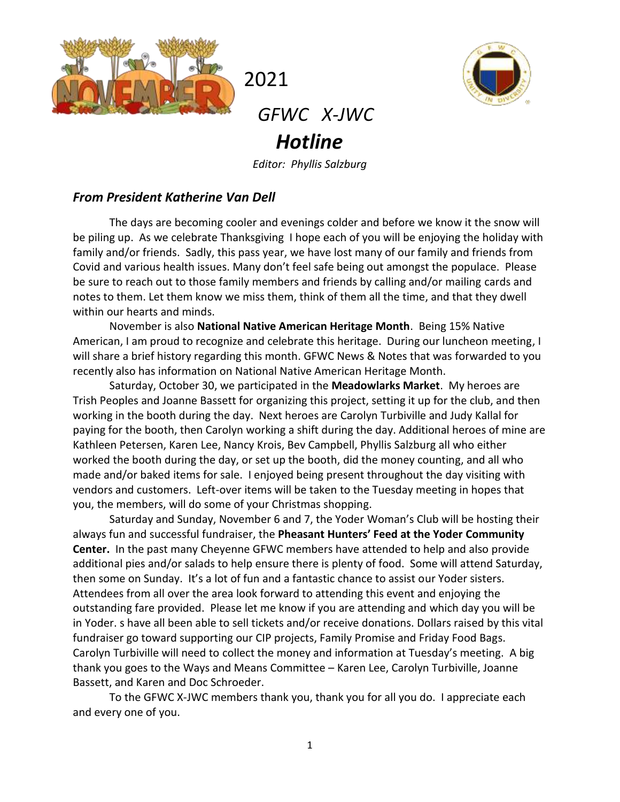



## *GFWC X-JWC Hotline*

2021

*Editor: Phyllis Salzburg*

#### *From President Katherine Van Dell*

The days are becoming cooler and evenings colder and before we know it the snow will be piling up. As we celebrate Thanksgiving I hope each of you will be enjoying the holiday with family and/or friends. Sadly, this pass year, we have lost many of our family and friends from Covid and various health issues. Many don't feel safe being out amongst the populace. Please be sure to reach out to those family members and friends by calling and/or mailing cards and notes to them. Let them know we miss them, think of them all the time, and that they dwell within our hearts and minds.

November is also **National Native American Heritage Month**. Being 15% Native American, I am proud to recognize and celebrate this heritage. During our luncheon meeting, I will share a brief history regarding this month. GFWC News & Notes that was forwarded to you recently also has information on National Native American Heritage Month.

Saturday, October 30, we participated in the **Meadowlarks Market**. My heroes are Trish Peoples and Joanne Bassett for organizing this project, setting it up for the club, and then working in the booth during the day. Next heroes are Carolyn Turbiville and Judy Kallal for paying for the booth, then Carolyn working a shift during the day. Additional heroes of mine are Kathleen Petersen, Karen Lee, Nancy Krois, Bev Campbell, Phyllis Salzburg all who either worked the booth during the day, or set up the booth, did the money counting, and all who made and/or baked items for sale. I enjoyed being present throughout the day visiting with vendors and customers. Left-over items will be taken to the Tuesday meeting in hopes that you, the members, will do some of your Christmas shopping.

Saturday and Sunday, November 6 and 7, the Yoder Woman's Club will be hosting their always fun and successful fundraiser, the **Pheasant Hunters' Feed at the Yoder Community Center.** In the past many Cheyenne GFWC members have attended to help and also provide additional pies and/or salads to help ensure there is plenty of food. Some will attend Saturday, then some on Sunday. It's a lot of fun and a fantastic chance to assist our Yoder sisters. Attendees from all over the area look forward to attending this event and enjoying the outstanding fare provided. Please let me know if you are attending and which day you will be in Yoder. s have all been able to sell tickets and/or receive donations. Dollars raised by this vital fundraiser go toward supporting our CIP projects, Family Promise and Friday Food Bags. Carolyn Turbiville will need to collect the money and information at Tuesday's meeting. A big thank you goes to the Ways and Means Committee – Karen Lee, Carolyn Turbiville, Joanne Bassett, and Karen and Doc Schroeder.

To the GFWC X-JWC members thank you, thank you for all you do. I appreciate each and every one of you.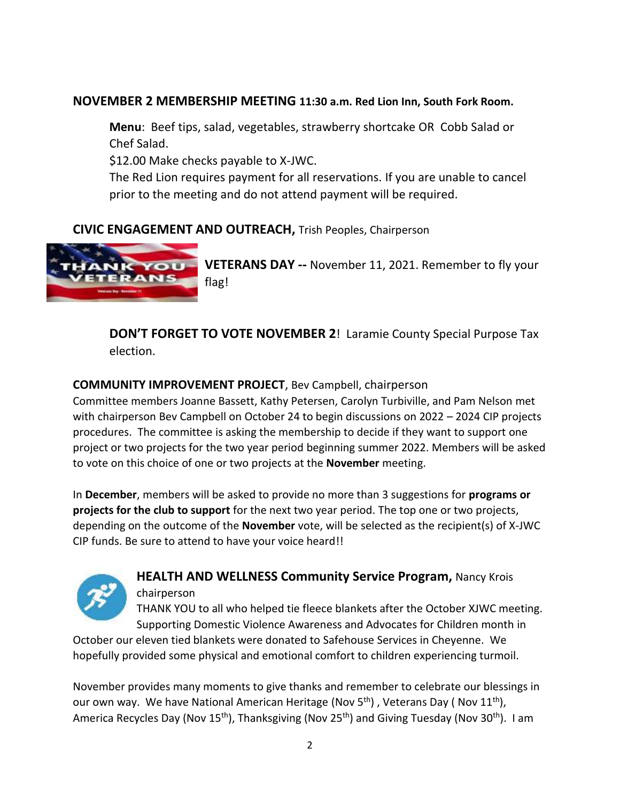#### **NOVEMBER 2 MEMBERSHIP MEETING 11:30 a.m. Red Lion Inn, South Fork Room.**

**Menu**: Beef tips, salad, vegetables, strawberry shortcake OR Cobb Salad or Chef Salad.

\$12.00 Make checks payable to X-JWC.

The Red Lion requires payment for all reservations. If you are unable to cancel prior to the meeting and do not attend payment will be required.

## **CIVIC ENGAGEMENT AND OUTREACH,** Trish Peoples, Chairperson



**VETERANS DAY --** November 11, 2021. Remember to fly your flag!

**DON'T FORGET TO VOTE NOVEMBER 2**! Laramie County Special Purpose Tax election.

#### **COMMUNITY IMPROVEMENT PROJECT**, Bev Campbell, chairperson

Committee members Joanne Bassett, Kathy Petersen, Carolyn Turbiville, and Pam Nelson met with chairperson Bev Campbell on October 24 to begin discussions on 2022 – 2024 CIP projects procedures. The committee is asking the membership to decide if they want to support one project or two projects for the two year period beginning summer 2022. Members will be asked to vote on this choice of one or two projects at the **November** meeting.

In **December**, members will be asked to provide no more than 3 suggestions for **programs or projects for the club to support** for the next two year period. The top one or two projects, depending on the outcome of the **November** vote, will be selected as the recipient(s) of X-JWC CIP funds. Be sure to attend to have your voice heard!!



## **HEALTH AND WELLNESS Community Service Program,** Nancy Krois chairperson

THANK YOU to all who helped tie fleece blankets after the October XJWC meeting. Supporting Domestic Violence Awareness and Advocates for Children month in

October our eleven tied blankets were donated to Safehouse Services in Cheyenne. We hopefully provided some physical and emotional comfort to children experiencing turmoil.

November provides many moments to give thanks and remember to celebrate our blessings in our own way. We have National American Heritage (Nov  $5<sup>th</sup>$ ), Veterans Day (Nov  $11<sup>th</sup>$ ), America Recycles Day (Nov 15<sup>th</sup>), Thanksgiving (Nov 25<sup>th</sup>) and Giving Tuesday (Nov 30<sup>th</sup>). I am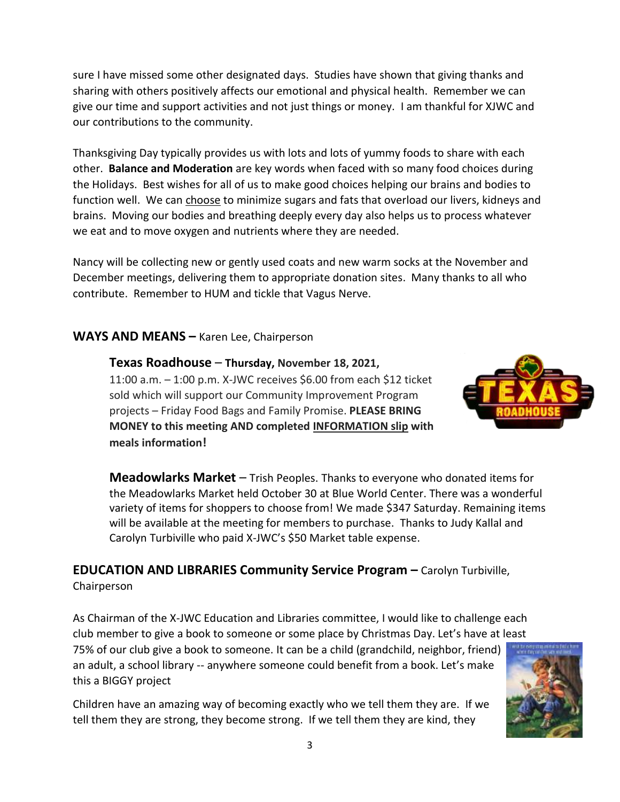sure I have missed some other designated days. Studies have shown that giving thanks and sharing with others positively affects our emotional and physical health. Remember we can give our time and support activities and not just things or money. I am thankful for XJWC and our contributions to the community.

Thanksgiving Day typically provides us with lots and lots of yummy foods to share with each other. **Balance and Moderation** are key words when faced with so many food choices during the Holidays. Best wishes for all of us to make good choices helping our brains and bodies to function well. We can choose to minimize sugars and fats that overload our livers, kidneys and brains. Moving our bodies and breathing deeply every day also helps us to process whatever we eat and to move oxygen and nutrients where they are needed.

Nancy will be collecting new or gently used coats and new warm socks at the November and December meetings, delivering them to appropriate donation sites. Many thanks to all who contribute. Remember to HUM and tickle that Vagus Nerve.

#### **WAYS AND MEANS –** Karen Lee, Chairperson

**Texas Roadhouse** – **Thursday, November 18, 2021,** 11:00 a.m. – 1:00 p.m. X-JWC receives \$6.00 from each \$12 ticket sold which will support our Community Improvement Program projects – Friday Food Bags and Family Promise. **PLEASE BRING MONEY to this meeting AND completed INFORMATION slip with meals information!**



**Meadowlarks Market** – Trish Peoples. Thanks to everyone who donated items for the Meadowlarks Market held October 30 at Blue World Center. There was a wonderful variety of items for shoppers to choose from! We made \$347 Saturday. Remaining items will be available at the meeting for members to purchase. Thanks to Judy Kallal and Carolyn Turbiville who paid X-JWC's \$50 Market table expense.

# **EDUCATION AND LIBRARIES Community Service Program –** Carolyn Turbiville,

Chairperson

this a BIGGY project

As Chairman of the X-JWC Education and Libraries committee, I would like to challenge each club member to give a book to someone or some place by Christmas Day. Let's have at least 75% of our club give a book to someone. It can be a child (grandchild, neighbor, friend) an adult, a school library -- anywhere someone could benefit from a book. Let's make

Children have an amazing way of becoming exactly who we tell them they are. If we tell them they are strong, they become strong. If we tell them they are kind, they

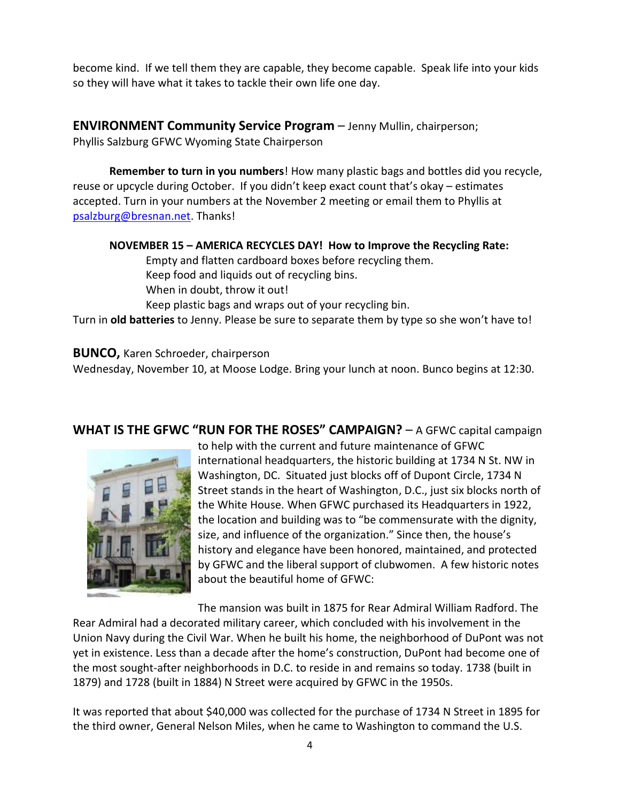become kind. If we tell them they are capable, they become capable. Speak life into your kids so they will have what it takes to tackle their own life one day.

**ENVIRONMENT Community Service Program** – Jenny Mullin, chairperson;

Phyllis Salzburg GFWC Wyoming State Chairperson

**Remember to turn in you numbers**! How many plastic bags and bottles did you recycle, reuse or upcycle during October. If you didn't keep exact count that's okay – estimates accepted. Turn in your numbers at the November 2 meeting or email them to Phyllis at [psalzburg@bresnan.net.](mailto:psalzburg@bresnan.net) Thanks!

#### **NOVEMBER 15 – AMERICA RECYCLES DAY! How to Improve the Recycling Rate:**

Empty and flatten cardboard boxes before recycling them. Keep food and liquids out of recycling bins. When in doubt, throw it out! Keep plastic bags and wraps out of your recycling bin.

Turn in **old batteries** to Jenny. Please be sure to separate them by type so she won't have to!

#### **BUNCO,** Karen Schroeder, chairperson

Wednesday, November 10, at Moose Lodge. Bring your lunch at noon. Bunco begins at 12:30.

#### **WHAT IS THE GFWC "RUN FOR THE ROSES" CAMPAIGN?** – A GFWC capital campaign



to help with the current and future maintenance of GFWC international headquarters, the historic building at 1734 N St. NW in Washington, DC. Situated just blocks off of Dupont Circle, 1734 N Street stands in the heart of Washington, D.C., just six blocks north of the White House. When GFWC purchased its Headquarters in 1922, the location and building was to "be commensurate with the dignity, size, and influence of the organization." Since then, the house's history and elegance have been honored, maintained, and protected by GFWC and the liberal support of clubwomen. A few historic notes about the beautiful home of GFWC:

The mansion was built in 1875 for Rear Admiral William Radford. The Rear Admiral had a decorated military career, which concluded with his involvement in the Union Navy during the Civil War. When he built his home, the neighborhood of DuPont was not yet in existence. Less than a decade after the home's construction, DuPont had become one of the most sought-after neighborhoods in D.C. to reside in and remains so today. 1738 (built in 1879) and 1728 (built in 1884) N Street were acquired by GFWC in the 1950s.

It was reported that about \$40,000 was collected for the purchase of 1734 N Street in 1895 for the third owner, General Nelson Miles, when he came to Washington to command the U.S.